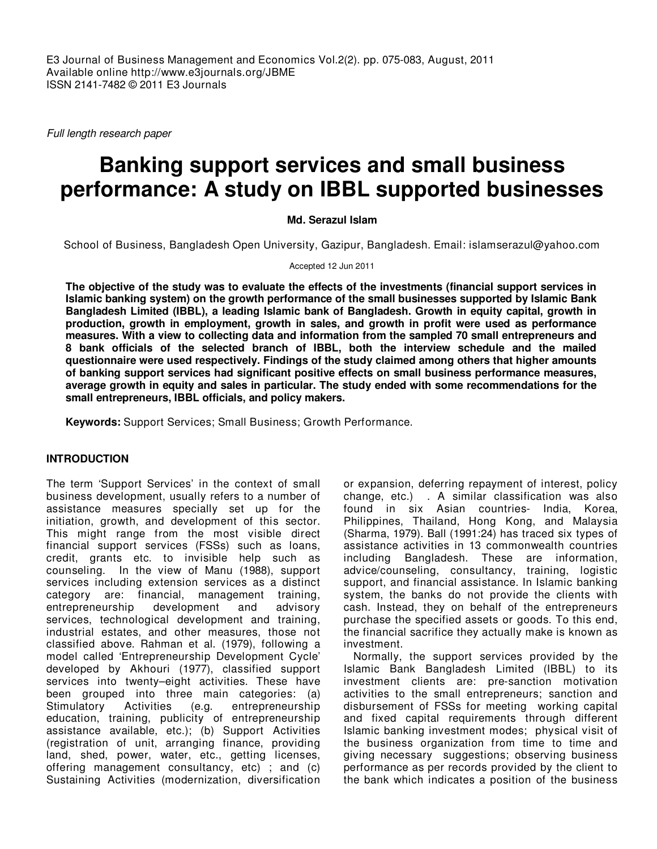Full length research paper

# **Banking support services and small business performance: A study on IBBL supported businesses**

**Md. Serazul Islam** 

School of Business, Bangladesh Open University, Gazipur, Bangladesh. Email: islamserazul@yahoo.com

Accepted 12 Jun 2011

**The objective of the study was to evaluate the effects of the investments (financial support services in Islamic banking system) on the growth performance of the small businesses supported by Islamic Bank Bangladesh Limited (IBBL), a leading Islamic bank of Bangladesh. Growth in equity capital, growth in production, growth in employment, growth in sales, and growth in profit were used as performance measures. With a view to collecting data and information from the sampled 70 small entrepreneurs and 8 bank officials of the selected branch of IBBL, both the interview schedule and the mailed questionnaire were used respectively. Findings of the study claimed among others that higher amounts of banking support services had significant positive effects on small business performance measures, average growth in equity and sales in particular. The study ended with some recommendations for the small entrepreneurs, IBBL officials, and policy makers.** 

**Keywords:** Support Services; Small Business; Growth Performance.

# **INTRODUCTION**

The term 'Support Services' in the context of small business development, usually refers to a number of assistance measures specially set up for the initiation, growth, and development of this sector. This might range from the most visible direct financial support services (FSSs) such as loans, credit, grants etc. to invisible help such as counseling. In the view of Manu (1988), support services including extension services as a distinct category are: financial, management training,<br>entrepreneurship development and advisory entrepreneurship development and advisory services, technological development and training, industrial estates, and other measures, those not classified above. Rahman et al. (1979), following a model called 'Entrepreneurship Development Cycle' developed by Akhouri (1977), classified support services into twenty–eight activities. These have been grouped into three main categories: (a) Stimulatory Activities (e.g. entrepreneurship education, training, publicity of entrepreneurship assistance available, etc.); (b) Support Activities (registration of unit, arranging finance, providing land, shed, power, water, etc., getting licenses, offering management consultancy, etc) ; and (c) Sustaining Activities (modernization, diversification

or expansion, deferring repayment of interest, policy change, etc.) . A similar classification was also found in six Asian countries- India, Korea, Philippines, Thailand, Hong Kong, and Malaysia (Sharma, 1979). Ball (1991:24) has traced six types of assistance activities in 13 commonwealth countries including Bangladesh. These are information, advice/counseling, consultancy, training, logistic support, and financial assistance. In Islamic banking system, the banks do not provide the clients with cash. Instead, they on behalf of the entrepreneurs purchase the specified assets or goods. To this end, the financial sacrifice they actually make is known as investment.

Normally, the support services provided by the Islamic Bank Bangladesh Limited (IBBL) to its investment clients are: pre-sanction motivation activities to the small entrepreneurs; sanction and disbursement of FSSs for meeting working capital and fixed capital requirements through different Islamic banking investment modes; physical visit of the business organization from time to time and giving necessary suggestions; observing business performance as per records provided by the client to the bank which indicates a position of the business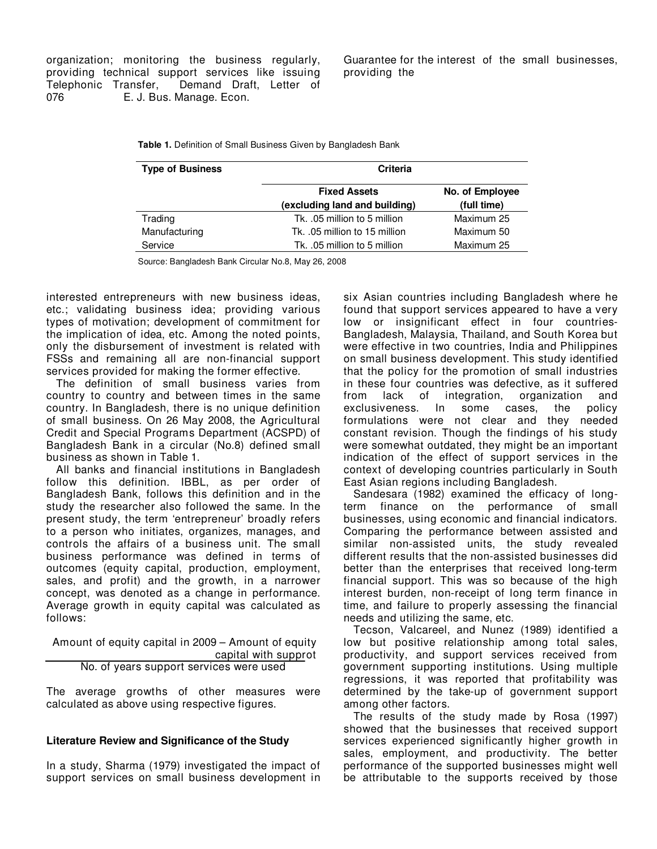organization; monitoring the business regularly, providing technical support services like issuing Telephonic Transfer, Demand Draft, Letter of E. J. Bus. Manage. Econ.

Guarantee for the interest of the small businesses, providing the

**Table 1.** Definition of Small Business Given by Bangladesh Bank

| <b>Type of Business</b> | <b>Criteria</b>                                      |                                |  |  |  |
|-------------------------|------------------------------------------------------|--------------------------------|--|--|--|
|                         | <b>Fixed Assets</b><br>(excluding land and building) | No. of Employee<br>(full time) |  |  |  |
| Trading                 | Tk. .05 million to 5 million                         | Maximum 25                     |  |  |  |
| Manufacturing           | Tk. .05 million to 15 million                        | Maximum 50                     |  |  |  |
| Service                 | Tk. .05 million to 5 million                         | Maximum 25                     |  |  |  |

Source: Bangladesh Bank Circular No.8, May 26, 2008

interested entrepreneurs with new business ideas, etc.; validating business idea; providing various types of motivation; development of commitment for the implication of idea, etc. Among the noted points, only the disbursement of investment is related with FSSs and remaining all are non-financial support services provided for making the former effective.

The definition of small business varies from country to country and between times in the same country. In Bangladesh, there is no unique definition of small business. On 26 May 2008, the Agricultural Credit and Special Programs Department (ACSPD) of Bangladesh Bank in a circular (No.8) defined small business as shown in Table 1.

All banks and financial institutions in Bangladesh follow this definition. IBBL, as per order of Bangladesh Bank, follows this definition and in the study the researcher also followed the same. In the present study, the term 'entrepreneur' broadly refers to a person who initiates, organizes, manages, and controls the affairs of a business unit. The small business performance was defined in terms of outcomes (equity capital, production, employment, sales, and profit) and the growth, in a narrower concept, was denoted as a change in performance. Average growth in equity capital was calculated as follows:

 Amount of equity capital in 2009 – Amount of equity capital with supprot No. of years support services were used

The average growths of other measures were calculated as above using respective figures.

# **Literature Review and Significance of the Study**

In a study, Sharma (1979) investigated the impact of support services on small business development in

six Asian countries including Bangladesh where he found that support services appeared to have a very low or insignificant effect in four countries-Bangladesh, Malaysia, Thailand, and South Korea but were effective in two countries, India and Philippines on small business development. This study identified that the policy for the promotion of small industries in these four countries was defective, as it suffered from lack of integration, organization and exclusiveness. In some cases, the formulations were not clear and they needed constant revision. Though the findings of his study were somewhat outdated, they might be an important indication of the effect of support services in the context of developing countries particularly in South East Asian regions including Bangladesh.

Sandesara (1982) examined the efficacy of longterm finance on the performance of small businesses, using economic and financial indicators. Comparing the performance between assisted and similar non-assisted units, the study revealed different results that the non-assisted businesses did better than the enterprises that received long-term financial support. This was so because of the high interest burden, non-receipt of long term finance in time, and failure to properly assessing the financial needs and utilizing the same, etc.

Tecson, Valcareel, and Nunez (1989) identified a low but positive relationship among total sales, productivity, and support services received from government supporting institutions. Using multiple regressions, it was reported that profitability was determined by the take-up of government support among other factors.

The results of the study made by Rosa (1997) showed that the businesses that received support services experienced significantly higher growth in sales, employment, and productivity. The better performance of the supported businesses might well be attributable to the supports received by those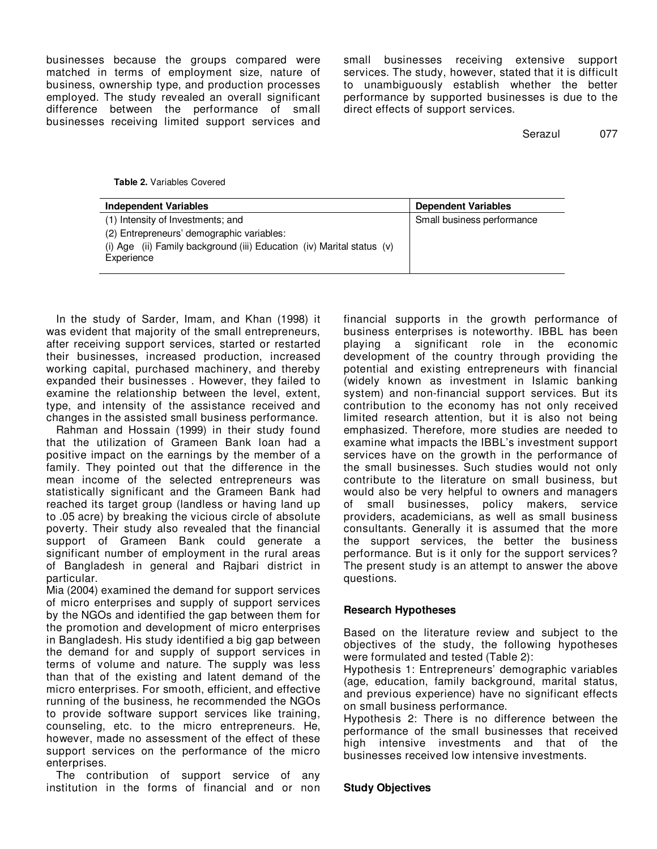businesses because the groups compared were matched in terms of employment size, nature of business, ownership type, and production processes employed. The study revealed an overall significant difference between the performance of small businesses receiving limited support services and

small businesses receiving extensive support services. The study, however, stated that it is difficult to unambiguously establish whether the better performance by supported businesses is due to the direct effects of support services.

Serazul 077

### **Table 2.** Variables Covered

| <b>Independent Variables</b>                                           | <b>Dependent Variables</b> |
|------------------------------------------------------------------------|----------------------------|
| (1) Intensity of Investments; and                                      | Small business performance |
| (2) Entrepreneurs' demographic variables:                              |                            |
| (i) Age (ii) Family background (iii) Education (iv) Marital status (v) |                            |
| Experience                                                             |                            |
|                                                                        |                            |

In the study of Sarder, Imam, and Khan (1998) it was evident that majority of the small entrepreneurs, after receiving support services, started or restarted their businesses, increased production, increased working capital, purchased machinery, and thereby expanded their businesses . However, they failed to examine the relationship between the level, extent, type, and intensity of the assistance received and changes in the assisted small business performance.

Rahman and Hossain (1999) in their study found that the utilization of Grameen Bank loan had a positive impact on the earnings by the member of a family. They pointed out that the difference in the mean income of the selected entrepreneurs was statistically significant and the Grameen Bank had reached its target group (landless or having land up to .05 acre) by breaking the vicious circle of absolute poverty. Their study also revealed that the financial support of Grameen Bank could generate a significant number of employment in the rural areas of Bangladesh in general and Rajbari district in particular.

Mia (2004) examined the demand for support services of micro enterprises and supply of support services by the NGOs and identified the gap between them for the promotion and development of micro enterprises in Bangladesh. His study identified a big gap between the demand for and supply of support services in terms of volume and nature. The supply was less than that of the existing and latent demand of the micro enterprises. For smooth, efficient, and effective running of the business, he recommended the NGOs to provide software support services like training, counseling, etc. to the micro entrepreneurs. He, however, made no assessment of the effect of these support services on the performance of the micro enterprises.

The contribution of support service of any institution in the forms of financial and or non

financial supports in the growth performance of business enterprises is noteworthy. IBBL has been playing a significant role in the economic development of the country through providing the potential and existing entrepreneurs with financial (widely known as investment in Islamic banking system) and non-financial support services. But its contribution to the economy has not only received limited research attention, but it is also not being emphasized. Therefore, more studies are needed to examine what impacts the IBBL's investment support services have on the growth in the performance of the small businesses. Such studies would not only contribute to the literature on small business, but would also be very helpful to owners and managers of small businesses, policy makers, service providers, academicians, as well as small business consultants. Generally it is assumed that the more the support services, the better the business performance. But is it only for the support services? The present study is an attempt to answer the above questions.

# **Research Hypotheses**

Based on the literature review and subject to the objectives of the study, the following hypotheses were formulated and tested (Table 2):

Hypothesis 1: Entrepreneurs' demographic variables (age, education, family background, marital status, and previous experience) have no significant effects on small business performance.

Hypothesis 2: There is no difference between the performance of the small businesses that received high intensive investments and that of the businesses received low intensive investments.

# **Study Objectives**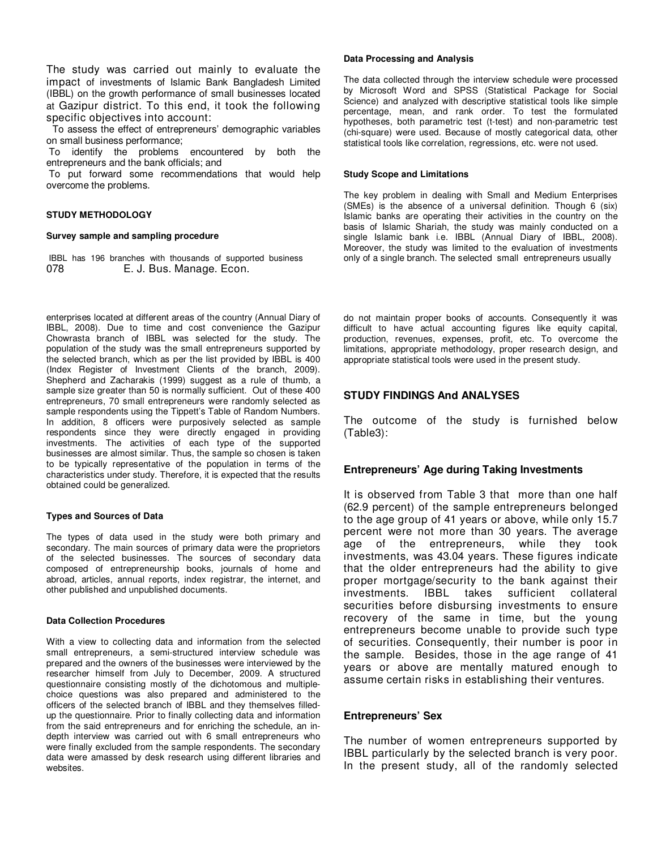The study was carried out mainly to evaluate the impact of investments of Islamic Bank Bangladesh Limited (IBBL) on the growth performance of small businesses located at Gazipur district. To this end, it took the following specific objectives into account:

 To assess the effect of entrepreneurs' demographic variables on small business performance;

 To identify the problems encountered by both the entrepreneurs and the bank officials; and

 To put forward some recommendations that would help overcome the problems.

#### **STUDY METHODOLOGY**

#### **Survey sample and sampling procedure**

IBBL has 196 branches with thousands of supported business 078 E. J. Bus. Manage. Econ.

enterprises located at different areas of the country (Annual Diary of IBBL, 2008). Due to time and cost convenience the Gazipur Chowrasta branch of IBBL was selected for the study. The population of the study was the small entrepreneurs supported by the selected branch, which as per the list provided by IBBL is 400 (Index Register of Investment Clients of the branch, 2009). Shepherd and Zacharakis (1999) suggest as a rule of thumb, a sample size greater than 50 is normally sufficient. Out of these 400 entrepreneurs, 70 small entrepreneurs were randomly selected as sample respondents using the Tippett's Table of Random Numbers. In addition, 8 officers were purposively selected as sample respondents since they were directly engaged in providing investments. The activities of each type of the supported businesses are almost similar. Thus, the sample so chosen is taken to be typically representative of the population in terms of the characteristics under study. Therefore, it is expected that the results obtained could be generalized.

#### **Types and Sources of Data**

The types of data used in the study were both primary and secondary. The main sources of primary data were the proprietors of the selected businesses. The sources of secondary data composed of entrepreneurship books, journals of home and abroad, articles, annual reports, index registrar, the internet, and other published and unpublished documents.

#### **Data Collection Procedures**

With a view to collecting data and information from the selected small entrepreneurs, a semi-structured interview schedule was prepared and the owners of the businesses were interviewed by the researcher himself from July to December, 2009. A structured questionnaire consisting mostly of the dichotomous and multiplechoice questions was also prepared and administered to the officers of the selected branch of IBBL and they themselves filledup the questionnaire. Prior to finally collecting data and information from the said entrepreneurs and for enriching the schedule, an indepth interview was carried out with 6 small entrepreneurs who were finally excluded from the sample respondents. The secondary data were amassed by desk research using different libraries and websites.

#### **Data Processing and Analysis**

The data collected through the interview schedule were processed by Microsoft Word and SPSS (Statistical Package for Social Science) and analyzed with descriptive statistical tools like simple percentage, mean, and rank order. To test the formulated hypotheses, both parametric test (t-test) and non-parametric test (chi-square) were used. Because of mostly categorical data, other statistical tools like correlation, regressions, etc. were not used.

#### **Study Scope and Limitations**

The key problem in dealing with Small and Medium Enterprises (SMEs) is the absence of a universal definition. Though 6 (six) Islamic banks are operating their activities in the country on the basis of Islamic Shariah, the study was mainly conducted on a single Islamic bank i.e. IBBL (Annual Diary of IBBL, 2008). Moreover, the study was limited to the evaluation of investments only of a single branch. The selected small entrepreneurs usually

do not maintain proper books of accounts. Consequently it was difficult to have actual accounting figures like equity capital, production, revenues, expenses, profit, etc. To overcome the limitations, appropriate methodology, proper research design, and appropriate statistical tools were used in the present study.

# **STUDY FINDINGS And ANALYSES**

The outcome of the study is furnished below (Table3):

#### **Entrepreneurs' Age during Taking Investments**

It is observed from Table 3 that more than one half (62.9 percent) of the sample entrepreneurs belonged to the age group of 41 years or above, while only 15.7 percent were not more than 30 years. The average age of the entrepreneurs, while they took investments, was 43.04 years. These figures indicate that the older entrepreneurs had the ability to give proper mortgage/security to the bank against their investments. IBBL takes sufficient collateral securities before disbursing investments to ensure recovery of the same in time, but the young entrepreneurs become unable to provide such type of securities. Consequently, their number is poor in the sample. Besides, those in the age range of 41 years or above are mentally matured enough to assume certain risks in establishing their ventures.

## **Entrepreneurs' Sex**

The number of women entrepreneurs supported by IBBL particularly by the selected branch is very poor. In the present study, all of the randomly selected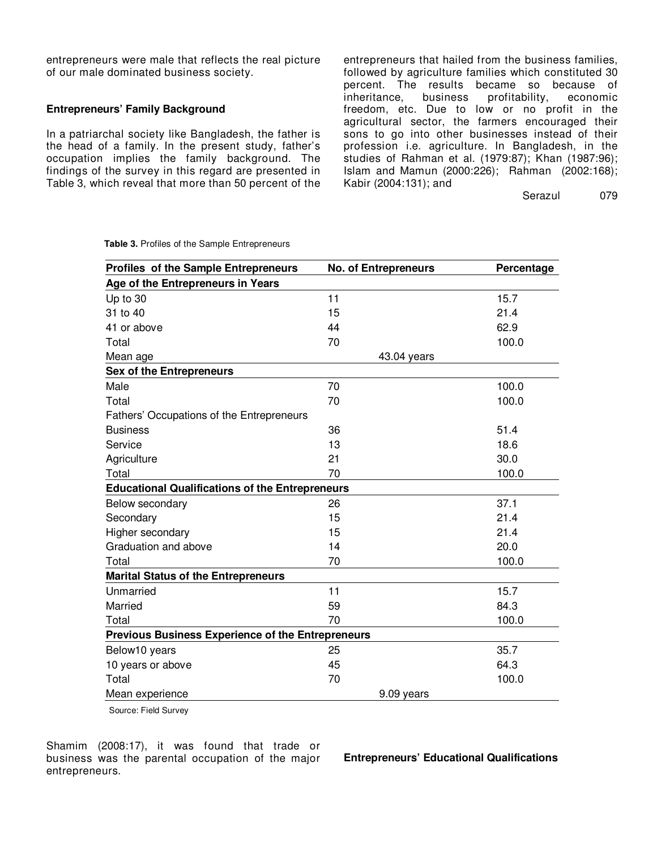entrepreneurs were male that reflects the real picture of our male dominated business society.

# **Entrepreneurs' Family Background**

In a patriarchal society like Bangladesh, the father is the head of a family. In the present study, father's occupation implies the family background. The findings of the survey in this regard are presented in Table 3, which reveal that more than 50 percent of the entrepreneurs that hailed from the business families, followed by agriculture families which constituted 30 percent. The results became so because of inheritance. business profitability, economic profitability, economic freedom, etc. Due to low or no profit in the agricultural sector, the farmers encouraged their sons to go into other businesses instead of their profession i.e. agriculture. In Bangladesh, in the studies of Rahman et al. (1979:87); Khan (1987:96); Islam and Mamun (2000:226); Rahman (2002:168); Kabir (2004:131); and

Serazul 079

| Profiles of the Sample Entrepreneurs                     | <b>No. of Entrepreneurs</b> | Percentage |  |  |  |  |
|----------------------------------------------------------|-----------------------------|------------|--|--|--|--|
| Age of the Entrepreneurs in Years                        |                             |            |  |  |  |  |
| Up to 30                                                 | 11                          | 15.7       |  |  |  |  |
| 31 to 40                                                 | 15                          | 21.4       |  |  |  |  |
| 41 or above                                              | 44                          | 62.9       |  |  |  |  |
| Total                                                    | 70                          | 100.0      |  |  |  |  |
| Mean age                                                 | 43.04 years                 |            |  |  |  |  |
| <b>Sex of the Entrepreneurs</b>                          |                             |            |  |  |  |  |
| Male                                                     | 70                          | 100.0      |  |  |  |  |
| Total                                                    | 70                          | 100.0      |  |  |  |  |
| Fathers' Occupations of the Entrepreneurs                |                             |            |  |  |  |  |
| <b>Business</b>                                          | 36                          | 51.4       |  |  |  |  |
| Service                                                  | 13                          | 18.6       |  |  |  |  |
| Agriculture                                              | 21                          | 30.0       |  |  |  |  |
| Total                                                    | 70                          | 100.0      |  |  |  |  |
| <b>Educational Qualifications of the Entrepreneurs</b>   |                             |            |  |  |  |  |
| Below secondary                                          | 26                          | 37.1       |  |  |  |  |
| Secondary                                                | 15                          | 21.4       |  |  |  |  |
| Higher secondary                                         | 15                          | 21.4       |  |  |  |  |
| Graduation and above                                     | 14                          | 20.0       |  |  |  |  |
| Total                                                    | 70                          | 100.0      |  |  |  |  |
| <b>Marital Status of the Entrepreneurs</b>               |                             |            |  |  |  |  |
| Unmarried                                                | 11                          | 15.7       |  |  |  |  |
| Married                                                  | 59                          | 84.3       |  |  |  |  |
| Total                                                    | 70                          | 100.0      |  |  |  |  |
| <b>Previous Business Experience of the Entrepreneurs</b> |                             |            |  |  |  |  |
| Below10 years                                            | 25                          | 35.7       |  |  |  |  |
| 10 years or above                                        | 45                          | 64.3       |  |  |  |  |
| Total                                                    | 70                          | 100.0      |  |  |  |  |
| Mean experience                                          | 9.09 years                  |            |  |  |  |  |

**Table 3.** Profiles of the Sample Entrepreneurs

Source: Field Survey

Shamim (2008:17), it was found that trade or business was the parental occupation of the major entrepreneurs.

**Entrepreneurs' Educational Qualifications**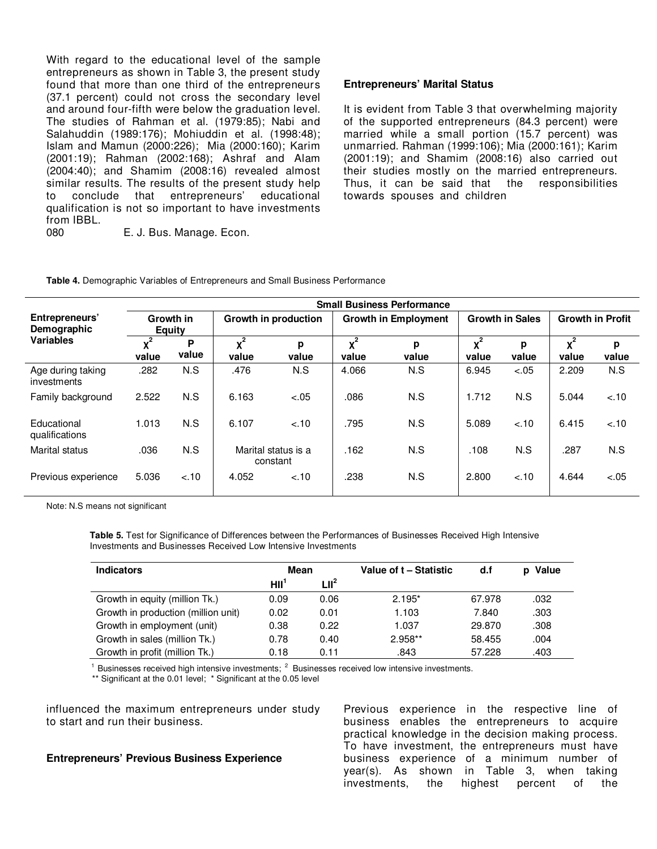With regard to the educational level of the sample entrepreneurs as shown in Table 3, the present study found that more than one third of the entrepreneurs (37.1 percent) could not cross the secondary level and around four-fifth were below the graduation level. The studies of Rahman et al. (1979:85); Nabi and Salahuddin (1989:176); Mohiuddin et al. (1998:48); Islam and Mamun (2000:226); Mia (2000:160); Karim (2001:19); Rahman (2002:168); Ashraf and Alam (2004:40); and Shamim (2008:16) revealed almost similar results. The results of the present study help to conclude that entrepreneurs' educational qualification is not so important to have investments from IBBL.

080 E. J. Bus. Manage. Econ.

# **Entrepreneurs' Marital Status**

It is evident from Table 3 that overwhelming majority of the supported entrepreneurs (84.3 percent) were married while a small portion (15.7 percent) was unmarried. Rahman (1999:106); Mia (2000:161); Karim (2001:19); and Shamim (2008:16) also carried out their studies mostly on the married entrepreneurs. Thus, it can be said that the responsibilities towards spouses and children

|  |  | Table 4. Demographic Variables of Entrepreneurs and Small Business Performance |
|--|--|--------------------------------------------------------------------------------|
|--|--|--------------------------------------------------------------------------------|

|                                  | <b>Small Business Performance</b> |            |                             |                                 |                             |            |                         |            |                         |            |
|----------------------------------|-----------------------------------|------------|-----------------------------|---------------------------------|-----------------------------|------------|-------------------------|------------|-------------------------|------------|
| Entrepreneurs'<br>Demographic    | Growth in<br><b>Equity</b>        |            | <b>Growth in production</b> |                                 | <b>Growth in Employment</b> |            | <b>Growth in Sales</b>  |            | <b>Growth in Profit</b> |            |
| <b>Variables</b>                 | $x^2$<br>value                    | P<br>value | $v^2$<br>value              | р<br>value                      | $x^2$<br>value              | р<br>value | $\mathbf{v}^2$<br>value | p<br>value | $x^2$<br>value          | р<br>value |
| Age during taking<br>investments | .282                              | N.S        | .476                        | N.S                             | 4.066                       | N.S        | 6.945                   | $-.05$     | 2.209                   | N.S        |
| Family background                | 2.522                             | N.S        | 6.163                       | $-.05$                          | .086                        | N.S        | 1.712                   | N.S        | 5.044                   | $-.10$     |
| Educational<br>qualifications    | 1.013                             | N.S        | 6.107                       | $-.10$                          | .795                        | N.S        | 5.089                   | $-.10$     | 6.415                   | $-.10$     |
| Marital status                   | .036                              | N.S        |                             | Marital status is a<br>constant | .162                        | N.S        | .108                    | N.S        | .287                    | N.S        |
| Previous experience              | 5.036                             | $-.10$     | 4.052                       | $-.10$                          | .238                        | N.S        | 2.800                   | $-.10$     | 4.644                   | $-.05$     |

Note: N.S means not significant

**Table 5.** Test for Significance of Differences between the Performances of Businesses Received High Intensive Investments and Businesses Received Low Intensive Investments

| <b>Indicators</b>                   | Mean             |         | Value of t - Statistic | d.f    | Value |
|-------------------------------------|------------------|---------|------------------------|--------|-------|
|                                     | HII <sub>j</sub> | $LII^2$ |                        |        |       |
| Growth in equity (million Tk.)      | 0.09             | 0.06    | $2.195*$               | 67.978 | .032  |
| Growth in production (million unit) | 0.02             | 0.01    | 1.103                  | 7.840  | .303  |
| Growth in employment (unit)         | 0.38             | 0.22    | 1.037                  | 29.870 | .308  |
| Growth in sales (million Tk.)       | 0.78             | 0.40    | $2.958**$              | 58.455 | .004  |
| Growth in profit (million Tk.)      | 0.18             | 0.11    | .843                   | 57.228 | .403  |

<sup>1</sup> Businesses received high intensive investments;  $2$  Businesses received low intensive investments.

\*\* Significant at the 0.01 level; \* Significant at the 0.05 level

influenced the maximum entrepreneurs under study to start and run their business.

# **Entrepreneurs' Previous Business Experience**

Previous experience in the respective line of business enables the entrepreneurs to acquire practical knowledge in the decision making process. To have investment, the entrepreneurs must have business experience of a minimum number of year(s). As shown in Table 3, when taking investments, the highest percent of the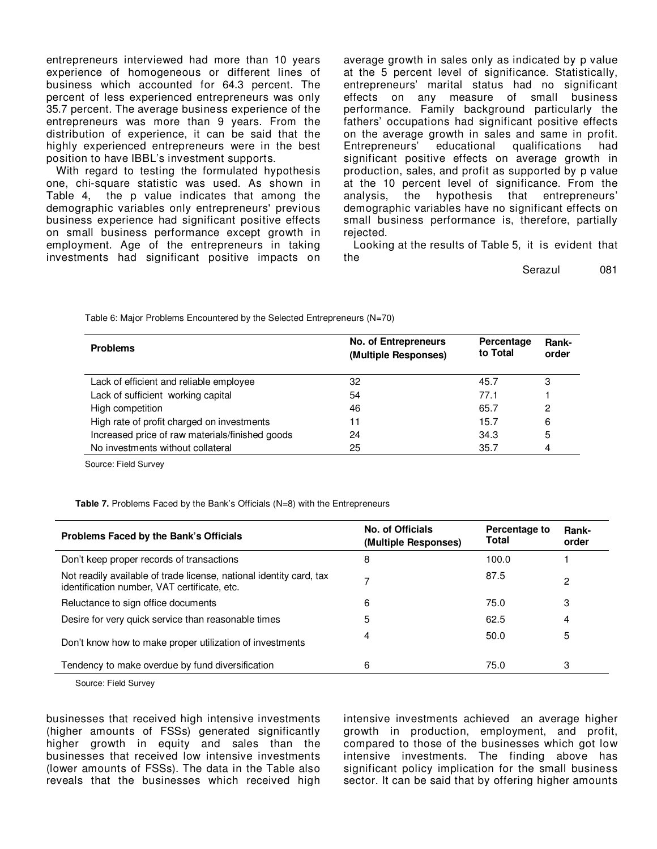entrepreneurs interviewed had more than 10 years experience of homogeneous or different lines of business which accounted for 64.3 percent. The percent of less experienced entrepreneurs was only 35.7 percent. The average business experience of the entrepreneurs was more than 9 years. From the distribution of experience, it can be said that the highly experienced entrepreneurs were in the best position to have IBBL's investment supports.

With regard to testing the formulated hypothesis one, chi-square statistic was used. As shown in Table 4, the p value indicates that among the demographic variables only entrepreneurs' previous business experience had significant positive effects on small business performance except growth in employment. Age of the entrepreneurs in taking investments had significant positive impacts on

average growth in sales only as indicated by p value at the 5 percent level of significance. Statistically, entrepreneurs' marital status had no significant effects on any measure of small business performance. Family background particularly the fathers' occupations had significant positive effects on the average growth in sales and same in profit. Entrepreneurs' educational qualifications had significant positive effects on average growth in production, sales, and profit as supported by p value at the 10 percent level of significance. From the analysis, the hypothesis that entrepreneurs' demographic variables have no significant effects on small business performance is, therefore, partially rejected.

Looking at the results of Table 5, it is evident that the

Serazul 081

| <b>Problems</b>                                 | <b>No. of Entrepreneurs</b><br>(Multiple Responses) | Percentage<br>to Total | Rank-<br>order |
|-------------------------------------------------|-----------------------------------------------------|------------------------|----------------|
| Lack of efficient and reliable employee         | 32                                                  | 45.7                   | 3              |
| Lack of sufficient working capital              | 54                                                  | 77.1                   |                |
| High competition                                | 46                                                  | 65.7                   | 2              |
| High rate of profit charged on investments      | 11                                                  | 15.7                   | 6              |
| Increased price of raw materials/finished goods | 24                                                  | 34.3                   | 5              |
| No investments without collateral               | 25                                                  | 35.7                   | 4              |

Table 6: Major Problems Encountered by the Selected Entrepreneurs (N=70)

Source: Field Survey

**Table 7.** Problems Faced by the Bank's Officials (N=8) with the Entrepreneurs

| Problems Faced by the Bank's Officials                                                                              | No. of Officials<br>(Multiple Responses) | Percentage to<br>Total | Rank-<br>order |
|---------------------------------------------------------------------------------------------------------------------|------------------------------------------|------------------------|----------------|
| Don't keep proper records of transactions                                                                           | 8                                        | 100.0                  |                |
| Not readily available of trade license, national identity card, tax<br>identification number, VAT certificate, etc. | ⇁                                        | 87.5                   | 2              |
| Reluctance to sign office documents                                                                                 | 6                                        | 75.0                   | 3              |
| Desire for very quick service than reasonable times                                                                 | 5                                        | 62.5                   | 4              |
| Don't know how to make proper utilization of investments                                                            | 4                                        | 50.0                   | 5              |
| Tendency to make overdue by fund diversification                                                                    | 6                                        | 75.0                   | 3              |

Source: Field Survey

businesses that received high intensive investments (higher amounts of FSSs) generated significantly higher growth in equity and sales than the businesses that received low intensive investments (lower amounts of FSSs). The data in the Table also reveals that the businesses which received high

intensive investments achieved an average higher growth in production, employment, and profit, compared to those of the businesses which got low intensive investments. The finding above has significant policy implication for the small business sector. It can be said that by offering higher amounts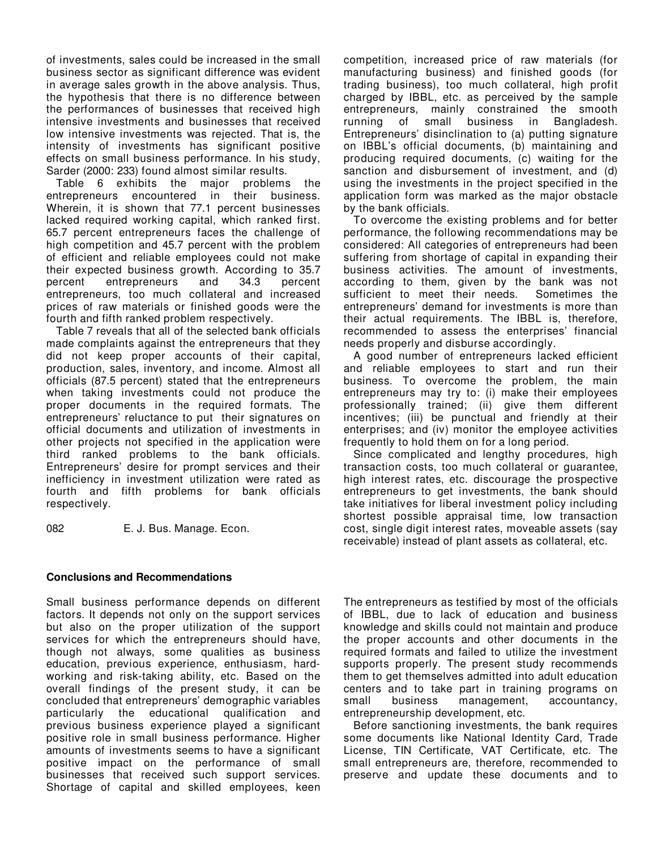of investments, sales could be increased in the small business sector as significant difference was evident in average sales growth in the above analysis. Thus, the hypothesis that there is no difference between the performances of businesses that received high intensive investments and businesses that received low intensive investments was rejected. That is, the intensity of investments has significant positive effects on small business performance. In his study, Sarder (2000: 233) found almost similar results.

Table 6 exhibits the major problems the entrepreneurs encountered in their business. Wherein, it is shown that 77.1 percent businesses lacked required working capital, which ranked first. 65.7 percent entrepreneurs faces the challenge of high competition and 45.7 percent with the problem of efficient and reliable employees could not make their expected business growth. According to 35.7<br>percent entrepreneurs and 34.3 percent percent entrepreneurs and 34.3 percent entrepreneurs, too much collateral and increased prices of raw materials or finished goods were the fourth and fifth ranked problem respectively.

Table 7 reveals that all of the selected bank officials made complaints against the entrepreneurs that they did not keep proper accounts of their capital, production, sales, inventory, and income. Almost all officials (87.5 percent) stated that the entrepreneurs when taking investments could not produce the proper documents in the required formats. The entrepreneurs' reluctance to put their signatures on official documents and utilization of investments in other projects not specified in the application were third ranked problems to the bank officials. Entrepreneurs' desire for prompt services and their inefficiency in investment utilization were rated as fourth and fifth problems for bank officials respectively.

082 E. J. Bus. Manage. Econ.

# **Conclusions and Recommendations**

Small business performance depends on different factors. It depends not only on the support services but also on the proper utilization of the support services for which the entrepreneurs should have, though not always, some qualities as business education, previous experience, enthusiasm, hardworking and risk-taking ability, etc. Based on the overall findings of the present study, it can be concluded that entrepreneurs' demographic variables particularly the educational qualification and previous business experience played a significant positive role in small business performance. Higher amounts of investments seems to have a significant positive impact on the performance of small businesses that received such support services. Shortage of capital and skilled employees, keen

competition, increased price of raw materials (for manufacturing business) and finished goods (for trading business), too much collateral, high profit charged by IBBL, etc. as perceived by the sample entrepreneurs, mainly constrained the smooth running of small business in Bangladesh. Entrepreneurs' disinclination to (a) putting signature on IBBL's official documents, (b) maintaining and producing required documents, (c) waiting for the sanction and disbursement of investment, and (d) using the investments in the project specified in the application form was marked as the major obstacle by the bank officials.

To overcome the existing problems and for better performance, the following recommendations may be considered: All categories of entrepreneurs had been suffering from shortage of capital in expanding their business activities. The amount of investments, according to them, given by the bank was not sufficient to meet their needs. Sometimes the entrepreneurs' demand for investments is more than their actual requirements. The IBBL is, therefore, recommended to assess the enterprises' financial needs properly and disburse accordingly.

A good number of entrepreneurs lacked efficient and reliable employees to start and run their business. To overcome the problem, the main entrepreneurs may try to: (i) make their employees professionally trained; (ii) give them different incentives; (iii) be punctual and friendly at their enterprises; and (iv) monitor the employee activities frequently to hold them on for a long period.

Since complicated and lengthy procedures, high transaction costs, too much collateral or guarantee, high interest rates, etc. discourage the prospective entrepreneurs to get investments, the bank should take initiatives for liberal investment policy including shortest possible appraisal time, low transaction cost, single digit interest rates, moveable assets (say receivable) instead of plant assets as collateral, etc.

The entrepreneurs as testified by most of the officials of IBBL, due to lack of education and business knowledge and skills could not maintain and produce the proper accounts and other documents in the required formats and failed to utilize the investment supports properly. The present study recommends them to get themselves admitted into adult education centers and to take part in training programs on small business management, accountancy, entrepreneurship development, etc.

Before sanctioning investments, the bank requires some documents like National Identity Card, Trade License, TIN Certificate, VAT Certificate, etc. The small entrepreneurs are, therefore, recommended to preserve and update these documents and to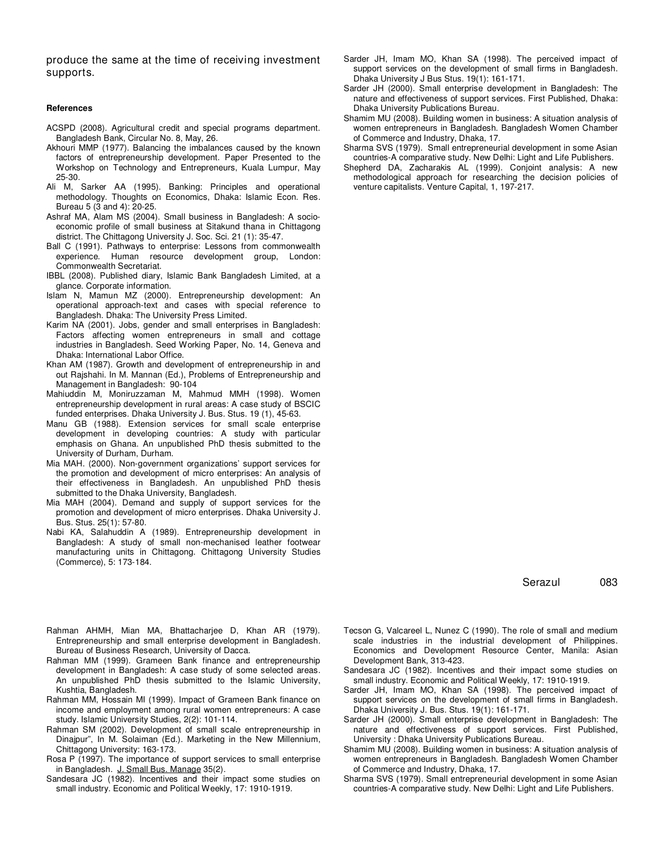produce the same at the time of receiving investment supports.

#### **References**

- ACSPD (2008). Agricultural credit and special programs department. Bangladesh Bank, Circular No. 8, May, 26.
- Akhouri MMP (1977). Balancing the imbalances caused by the known factors of entrepreneurship development. Paper Presented to the Workshop on Technology and Entrepreneurs, Kuala Lumpur, May 25-30.
- Ali M, Sarker AA (1995). Banking: Principles and operational methodology. Thoughts on Economics, Dhaka: Islamic Econ. Res. Bureau 5 (3 and 4): 20-25.
- Ashraf MA, Alam MS (2004). Small business in Bangladesh: A socioeconomic profile of small business at Sitakund thana in Chittagong district. The Chittagong University J. Soc. Sci. 21 (1): 35-47.
- Ball C (1991). Pathways to enterprise: Lessons from commonwealth experience. Human resource development group, London: Commonwealth Secretariat.
- IBBL (2008). Published diary, Islamic Bank Bangladesh Limited, at a glance. Corporate information.
- Islam N, Mamun MZ (2000). Entrepreneurship development: An operational approach-text and cases with special reference to Bangladesh. Dhaka: The University Press Limited.
- Karim NA (2001). Jobs, gender and small enterprises in Bangladesh: Factors affecting women entrepreneurs in small and cottage industries in Bangladesh. Seed Working Paper, No. 14, Geneva and Dhaka: International Labor Office.
- Khan AM (1987). Growth and development of entrepreneurship in and out Rajshahi. In M. Mannan (Ed.), Problems of Entrepreneurship and Management in Bangladesh: 90-104
- Mahiuddin M, Moniruzzaman M, Mahmud MMH (1998). Women entrepreneurship development in rural areas: A case study of BSCIC funded enterprises. Dhaka University J. Bus. Stus. 19 (1), 45-63.
- Manu GB (1988). Extension services for small scale enterprise development in developing countries: A study with particular emphasis on Ghana. An unpublished PhD thesis submitted to the University of Durham, Durham.
- Mia MAH. (2000). Non-government organizations' support services for the promotion and development of micro enterprises: An analysis of their effectiveness in Bangladesh. An unpublished PhD thesis submitted to the Dhaka University, Bangladesh.
- Mia MAH (2004). Demand and supply of support services for the promotion and development of micro enterprises. Dhaka University J. Bus. Stus. 25(1): 57-80.
- Nabi KA, Salahuddin A (1989). Entrepreneurship development in Bangladesh: A study of small non-mechanised leather footwear manufacturing units in Chittagong. Chittagong University Studies (Commerce), 5: 173-184.
- Rahman AHMH, Mian MA, Bhattacharjee D, Khan AR (1979). Entrepreneurship and small enterprise development in Bangladesh. Bureau of Business Research, University of Dacca.
- Rahman MM (1999). Grameen Bank finance and entrepreneurship development in Bangladesh: A case study of some selected areas. An unpublished PhD thesis submitted to the Islamic University, Kushtia, Bangladesh.
- Rahman MM, Hossain MI (1999). Impact of Grameen Bank finance on income and employment among rural women entrepreneurs: A case study. Islamic University Studies, 2(2): 101-114.
- Rahman SM (2002). Development of small scale entrepreneurship in Dinajpur", In M. Solaiman (Ed.). Marketing in the New Millennium, Chittagong University: 163-173.
- Rosa P (1997). The importance of support services to small enterprise in Bangladesh. J. Small Bus. Manage 35(2).
- Sandesara JC (1982). Incentives and their impact some studies on small industry. Economic and Political Weekly, 17: 1910-1919.
- Sarder JH, Imam MO, Khan SA (1998). The perceived impact of support services on the development of small firms in Bangladesh. Dhaka University J Bus Stus. 19(1): 161-171.
- Sarder JH (2000). Small enterprise development in Bangladesh: The nature and effectiveness of support services. First Published, Dhaka: Dhaka University Publications Bureau.
- Shamim MU (2008). Building women in business: A situation analysis of women entrepreneurs in Bangladesh. Bangladesh Women Chamber of Commerce and Industry, Dhaka, 17.
- Sharma SVS (1979). Small entrepreneurial development in some Asian countries-A comparative study. New Delhi: Light and Life Publishers.
- Shepherd DA, Zacharakis AL (1999). Conjoint analysis: A new methodological approach for researching the decision policies of venture capitalists. Venture Capital, 1, 197-217.

## Serazul 083

- Tecson G, Valcareel L, Nunez C (1990). The role of small and medium scale industries in the industrial development of Philippines. Economics and Development Resource Center, Manila: Asian Development Bank, 313-423.
- Sandesara JC (1982). Incentives and their impact some studies on small industry. Economic and Political Weekly, 17: 1910-1919.
- Sarder JH, Imam MO, Khan SA (1998). The perceived impact of support services on the development of small firms in Bangladesh. Dhaka University J. Bus. Stus. 19(1): 161-171.
- Sarder JH (2000). Small enterprise development in Bangladesh: The nature and effectiveness of support services. First Published, University : Dhaka University Publications Bureau.
- Shamim MU (2008). Building women in business: A situation analysis of women entrepreneurs in Bangladesh. Bangladesh Women Chamber of Commerce and Industry, Dhaka, 17.
- Sharma SVS (1979). Small entrepreneurial development in some Asian countries-A comparative study. New Delhi: Light and Life Publishers.